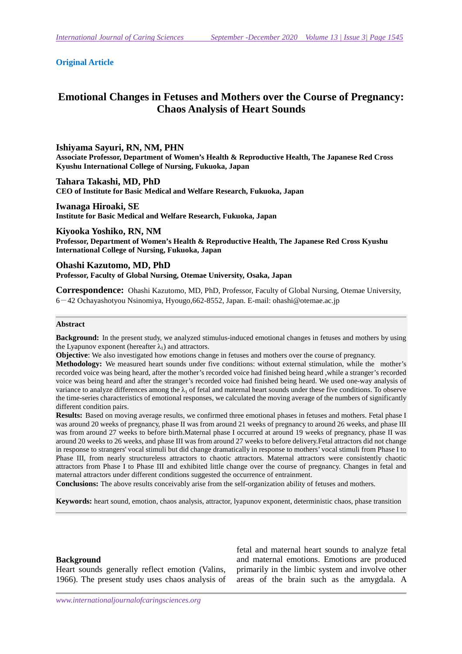### **Original Article**

# **Emotional Changes in Fetuses and Mothers over the Course of Pregnancy: Chaos Analysis of Heart Sounds**

### **Ishiyama Sayuri, RN, NM, PHN**

**Associate Professor, Department of Women's Health & Reproductive Health, The Japanese Red Cross Kyushu International College of Nursing, Fukuoka, Japan** 

**Tahara Takashi, MD, PhD CEO of Institute for Basic Medical and Welfare Research, Fukuoka, Japan** 

**Iwanaga Hiroaki, SE Institute for Basic Medical and Welfare Research, Fukuoka, Japan** 

**Kiyooka Yoshiko, RN, NM Professor, Department of Women's Health & Reproductive Health, The Japanese Red Cross Kyushu International College of Nursing, Fukuoka, Japan** 

**Ohashi Kazutomo, MD, PhD Professor, Faculty of Global Nursing, Otemae University, Osaka, Japan** 

**Correspondence:** Ohashi Kazutomo, MD, PhD, Professor, Faculty of Global Nursing, Otemae University, 6-42 Ochayashotyou Nsinomiya, Hyougo,662-8552, Japan. E-mail: ohashi@otemae.ac.jp

### **Abstract**

**Background:** In the present study, we analyzed stimulus-induced emotional changes in fetuses and mothers by using the Lyapunov exponent (hereafter  $\lambda_1$ ) and attractors.

**Objective:** We also investigated how emotions change in fetuses and mothers over the course of pregnancy.

**Methodology:** We measured heart sounds under five conditions: without external stimulation, while the mother's recorded voice was being heard, after the mother's recorded voice had finished being heard ,while a stranger's recorded voice was being heard and after the stranger's recorded voice had finished being heard. We used one-way analysis of variance to analyze differences among the  $\lambda_1$  of fetal and maternal heart sounds under these five conditions. To observe the time-series characteristics of emotional responses, we calculated the moving average of the numbers of significantly different condition pairs.

**Results:** Based on moving average results, we confirmed three emotional phases in fetuses and mothers. Fetal phase I was around 20 weeks of pregnancy, phase II was from around 21 weeks of pregnancy to around 26 weeks, and phase III was from around 27 weeks to before birth.Maternal phase I occurred at around 19 weeks of pregnancy, phase II was around 20 weeks to 26 weeks, and phase III was from around 27 weeks to before delivery.Fetal attractors did not change in response to strangers' vocal stimuli but did change dramatically in response to mothers' vocal stimuli from Phase I to Phase III, from nearly structureless attractors to chaotic attractors. Maternal attractors were consistently chaotic attractors from Phase I to Phase III and exhibited little change over the course of pregnancy. Changes in fetal and maternal attractors under different conditions suggested the occurrence of entrainment.

**Conclusions:** The above results conceivably arise from the self-organization ability of fetuses and mothers.

**Keywords:** heart sound, emotion, chaos analysis, attractor, lyapunov exponent, deterministic chaos, phase transition

### **Background**

Heart sounds generally reflect emotion (Valins, 1966). The present study uses chaos analysis of

fetal and maternal heart sounds to analyze fetal and maternal emotions. Emotions are produced primarily in the limbic system and involve other areas of the brain such as the amygdala. A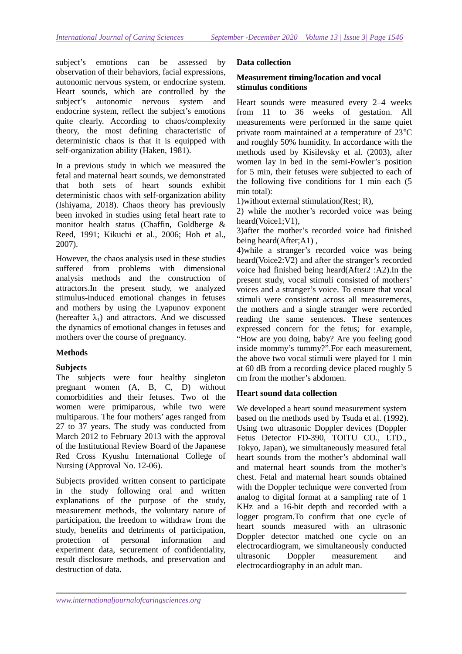subject's emotions can be assessed by observation of their behaviors, facial expressions, autonomic nervous system, or endocrine system. Heart sounds, which are controlled by the subject's autonomic nervous system and endocrine system, reflect the subject's emotions quite clearly. According to chaos/complexity theory, the most defining characteristic of deterministic chaos is that it is equipped with self-organization ability (Haken, 1981).

In a previous study in which we measured the fetal and maternal heart sounds, we demonstrated that both sets of heart sounds exhibit deterministic chaos with self-organization ability (Ishiyama, 2018). Chaos theory has previously been invoked in studies using fetal heart rate to monitor health status (Chaffin, Goldberge & Reed, 1991; Kikuchi et al., 2006; Hoh et al., 2007).

However, the chaos analysis used in these studies suffered from problems with dimensional analysis methods and the construction of attractors.In the present study, we analyzed stimulus-induced emotional changes in fetuses and mothers by using the Lyapunov exponent (hereafter  $\lambda_1$ ) and attractors. And we discussed the dynamics of emotional changes in fetuses and mothers over the course of pregnancy.

# **Methods**

### **Subjects**

The subjects were four healthy singleton pregnant women (A, B, C, D) without comorbidities and their fetuses. Two of the women were primiparous, while two were multiparous. The four mothers' ages ranged from 27 to 37 years. The study was conducted from March 2012 to February 2013 with the approval of the Institutional Review Board of the Japanese Red Cross Kyushu International College of Nursing (Approval No. 12-06).

Subjects provided written consent to participate in the study following oral and written explanations of the purpose of the study, measurement methods, the voluntary nature of participation, the freedom to withdraw from the study, benefits and detriments of participation, protection of personal information and experiment data, securement of confidentiality, result disclosure methods, and preservation and destruction of data.

### **Data collection**

# **Measurement timing/location and vocal stimulus conditions**

Heart sounds were measured every 2–4 weeks from 11 to 36 weeks of gestation. All measurements were performed in the same quiet private room maintained at a temperature of 23°C and roughly 50% humidity. In accordance with the methods used by Kisilevsky et al. (2003), after women lay in bed in the semi-Fowler's position for 5 min, their fetuses were subjected to each of the following five conditions for 1 min each (5 min total):

1)without external stimulation(Rest; R),

2) while the mother's recorded voice was being heard(Voice1;V1),

3)after the mother's recorded voice had finished being heard(After;A1) ,

4)while a stranger's recorded voice was being heard(Voice2:V2) and after the stranger's recorded voice had finished being heard(After2 :A2).In the present study, vocal stimuli consisted of mothers' voices and a stranger's voice. To ensure that vocal stimuli were consistent across all measurements, the mothers and a single stranger were recorded reading the same sentences. These sentences expressed concern for the fetus; for example, "How are you doing, baby? Are you feeling good inside mommy's tummy?".For each measurement, the above two vocal stimuli were played for 1 min at 60 dB from a recording device placed roughly 5 cm from the mother's abdomen.

### **Heart sound data collection**

We developed a heart sound measurement system based on the methods used by Tsuda et al. (1992). Using two ultrasonic Doppler devices (Doppler Fetus Detector FD-390, TOITU CO., LTD., Tokyo, Japan), we simultaneously measured fetal heart sounds from the mother's abdominal wall and maternal heart sounds from the mother's chest. Fetal and maternal heart sounds obtained with the Doppler technique were converted from analog to digital format at a sampling rate of 1 KHz and a 16-bit depth and recorded with a logger program.To confirm that one cycle of heart sounds measured with an ultrasonic Doppler detector matched one cycle on an electrocardiogram, we simultaneously conducted ultrasonic Doppler measurement and electrocardiography in an adult man.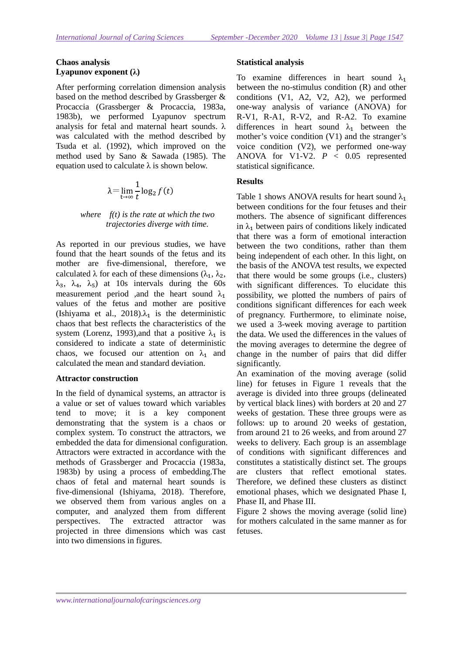# **Chaos analysis Lyapunov exponent (λ)**

After performing correlation dimension analysis based on the method described by Grassberger & Procaccia (Grassberger & Procaccia, 1983a, 1983b), we performed Lyapunov spectrum analysis for fetal and maternal heart sounds.  $\lambda$ was calculated with the method described by Tsuda et al. (1992), which improved on the method used by Sano & Sawada (1985). The equation used to calculate  $\lambda$  is shown below.

$$
\lambda = \lim_{t \to \infty} \frac{1}{t} \log_2 f(t)
$$

# *where f(t) is the rate at which the two trajectories diverge with time.*

As reported in our previous studies, we have found that the heart sounds of the fetus and its mother are five-dimensional, therefore, we calculated  $\lambda$  for each of these dimensions ( $\lambda_1$ ,  $\lambda_2$ ,  $\lambda_3$ ,  $\lambda_4$ ,  $\lambda_5$ ) at 10s intervals during the 60s measurement period ,and the heart sound  $\lambda_1$ values of the fetus and mother are positive (Ishiyama et al., 2018). $\lambda_1$  is the deterministic chaos that best reflects the characteristics of the system (Lorenz, 1993), and that a positive  $\lambda_1$  is considered to indicate a state of deterministic chaos, we focused our attention on  $\lambda_1$  and calculated the mean and standard deviation.

# **Attractor construction**

In the field of dynamical systems, an attractor is a value or set of values toward which variables tend to move; it is a key component demonstrating that the system is a chaos or complex system. To construct the attractors, we embedded the data for dimensional configuration. Attractors were extracted in accordance with the methods of Grassberger and Procaccia (1983a, 1983b) by using a process of embedding.The chaos of fetal and maternal heart sounds is five-dimensional (Ishiyama, 2018). Therefore, we observed them from various angles on a computer, and analyzed them from different perspectives. The extracted attractor was projected in three dimensions which was cast into two dimensions in figures.

# **Statistical analysis**

To examine differences in heart sound  $\lambda_1$ between the no-stimulus condition (R) and other conditions (V1, A2, V2, A2), we performed one-way analysis of variance (ANOVA) for R-V1, R-A1, R-V2, and R-A2. To examine differences in heart sound  $\lambda_1$  between the mother's voice condition (V1) and the stranger's voice condition (V2), we performed one-way ANOVA for V1-V2.  $P < 0.05$  represented statistical significance.

# **Results**

Table 1 shows ANOVA results for heart sound  $\lambda_1$ between conditions for the four fetuses and their mothers. The absence of significant differences in  $\lambda_1$  between pairs of conditions likely indicated that there was a form of emotional interaction between the two conditions, rather than them being independent of each other. In this light, on the basis of the ANOVA test results, we expected that there would be some groups (i.e., clusters) with significant differences. To elucidate this possibility, we plotted the numbers of pairs of conditions significant differences for each week of pregnancy. Furthermore, to eliminate noise, we used a 3-week moving average to partition the data. We used the differences in the values of the moving averages to determine the degree of change in the number of pairs that did differ significantly.

An examination of the moving average (solid line) for fetuses in Figure 1 reveals that the average is divided into three groups (delineated by vertical black lines) with borders at 20 and 27 weeks of gestation. These three groups were as follows: up to around 20 weeks of gestation, from around 21 to 26 weeks, and from around 27 weeks to delivery. Each group is an assemblage of conditions with significant differences and constitutes a statistically distinct set. The groups are clusters that reflect emotional states. Therefore, we defined these clusters as distinct emotional phases, which we designated Phase I, Phase II, and Phase III.

Figure 2 shows the moving average (solid line) for mothers calculated in the same manner as for fetuses.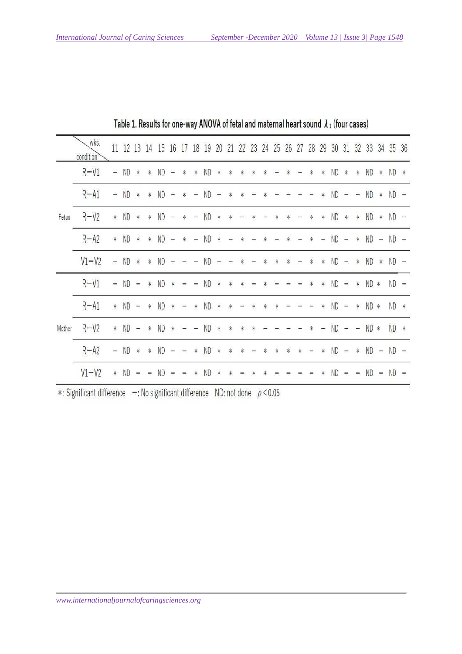|        | wks.<br>condition |                |           |                          |                | 11 12 13 14 15 16 17 18 19 |                          |                          |                          |           | 20       | 21            | 22     | 23                       | 24     | 25     | 26     | 27                       | 28     | 29                       | 30        | 31             | 32                       | 33        |                       | 34 35 36    |  |
|--------|-------------------|----------------|-----------|--------------------------|----------------|----------------------------|--------------------------|--------------------------|--------------------------|-----------|----------|---------------|--------|--------------------------|--------|--------|--------|--------------------------|--------|--------------------------|-----------|----------------|--------------------------|-----------|-----------------------|-------------|--|
|        | $R-V1$            | 읔              | ND        | $\ast$                   | $\ast$         | ND                         | Ξ                        | *                        | $\ast$                   | ND.       | *        | *             |        |                          |        |        |        |                          |        | $\ast$                   | ND        | $\ast$         | *                        | <b>ND</b> | $\ast$                | ND *        |  |
|        | $R - A1$          | ÷              | <b>ND</b> | *                        | *              | <b>ND</b>                  | $\overline{\phantom{a}}$ |                          | -                        | <b>ND</b> |          |               |        |                          |        |        |        |                          |        |                          | <b>ND</b> |                |                          | <b>ND</b> | $\ast$                | $ND -$      |  |
| Fetus  | $R-V2$            | $\ast$         | ND        | $\ast$                   | $\ast$         | ND                         | $\overline{\phantom{a}}$ | ∗                        | $\overline{ }$           | <b>ND</b> | ☀        | 寧             |        |                          |        |        |        |                          | ∗      | *                        | <b>ND</b> | $\ast$         | $\ast$                   | ND *      |                       | $ND -$      |  |
|        | $R - A2$          | $\ast$         | <b>ND</b> | $\ast$                   | $\ast$         | <b>ND</b>                  | $\equiv$                 | $\ast$                   | $\overline{\phantom{a}}$ | <b>ND</b> | $\ast$   |               |        |                          |        |        |        |                          |        | $\overline{\phantom{a}}$ | <b>ND</b> | $\rightarrow$  | $\ast$                   | <b>ND</b> | $\frac{1}{2\sqrt{3}}$ | $ND -$      |  |
|        | $V1-V2$           | $\overline{a}$ | <b>ND</b> | $\frac{1}{2}$            | $\ast$         | <b>ND</b>                  | $\bar{\Xi}$              | $\tau$ – $\pi$           |                          |           | $ND - -$ |               | $\ast$ | $\overline{\phantom{a}}$ | $\ast$ | $\ast$ | $\ast$ | $\overline{\phantom{a}}$ | $\ast$ | $\frac{1}{2}$            | $ND - *$  |                |                          | $ND$ $*$  |                       | $ND -$      |  |
| Mother | $R-V1$            | $-$            | ND        | $\overline{\phantom{a}}$ | $\ast$         | ND                         | $\ast$                   |                          |                          | ND        | $\ast$   | ∗             | ∗      |                          |        |        |        |                          |        | $\ast$                   | ND        | $\overline{a}$ | ∗                        | $ND *$    |                       | $ND -$      |  |
|        | $R - A1$          | $\ast$         | <b>ND</b> | $\overline{\phantom{a}}$ | $\ast$         | <b>ND</b>                  | *                        | -                        | *                        | <b>ND</b> | *        | *             |        |                          |        |        |        |                          |        | ∗                        | <b>ND</b> | $\equiv$       | $\ast$                   | $ND *$    |                       | ND *        |  |
|        | $R-V2$            | $\ast$         | ND        | $\frac{1}{2}$            | $\ast$         | <b>ND</b>                  | $\frac{1}{T}$            |                          | $\frac{1}{2}$            | ND        | $\ast$   | $\frac{1}{T}$ | *      | *                        |        |        |        |                          |        | ÷                        | <b>ND</b> | $\rightarrow$  | $\overline{\phantom{a}}$ | ND *      |                       | ND *        |  |
|        | $R - A2$          | $\equiv$       | <b>ND</b> | $\ast$                   | $\ast$         | <b>ND</b>                  | $\equiv$                 | $\leftarrow$             | $\ast$                   | ND        | $\ast$   | $\ast$        | *      |                          |        | ∗      | ¥      | ¥                        |        | $\ast$                   | <b>ND</b> | $\equiv$       | $\ast$                   | $ND -$    |                       | $ND -$      |  |
|        | $V1-V2$           |                | * ND      | $\overline{\phantom{a}}$ | $\overline{a}$ | <b>ND</b>                  |                          | $\overline{\phantom{a}}$ | ∗                        | <b>ND</b> | $\ast$   | *             |        |                          |        |        |        |                          |        | *                        | <b>ND</b> | $\equiv$       | $\overline{\phantom{a}}$ |           |                       | $ND - ND -$ |  |

Table 1. Results for one-way ANOVA of fetal and maternal heart sound  $\lambda_1$  (four cases)

\*: Significant difference -: No significant difference ND: not done  $p < 0.05$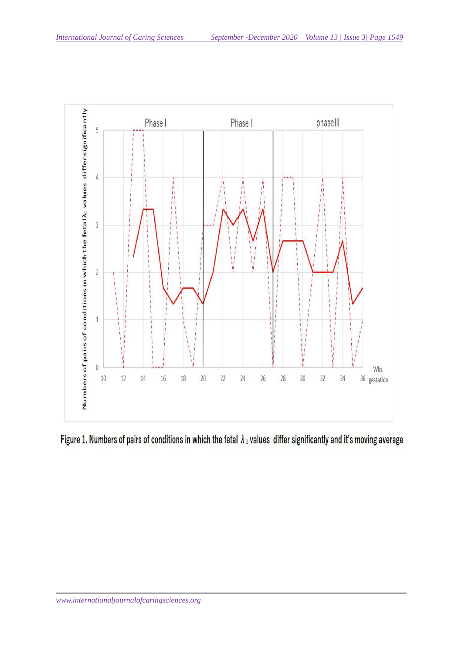

Figure 1. Numbers of pairs of conditions in which the fetal  $\lambda_1$  values differ significantly and it's moving average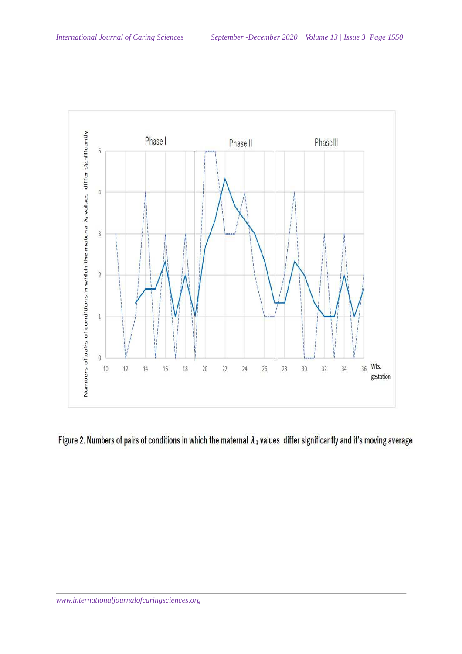

Figure 2. Numbers of pairs of conditions in which the maternal  $\lambda_1$  values differ significantly and it's moving average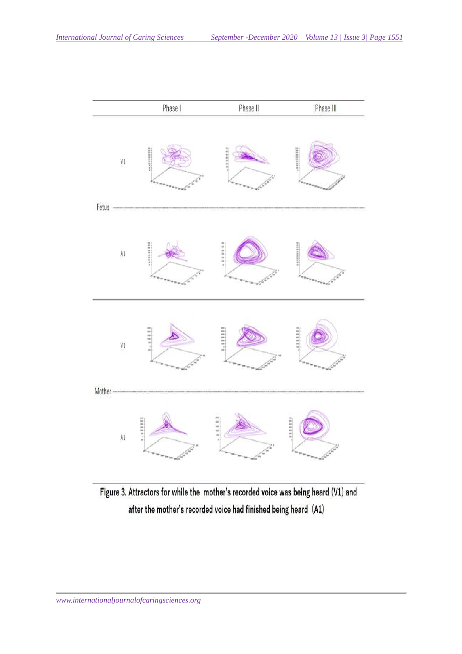

Figure 3. Attractors for while the mother's recorded voice was being heard (V1) and after the mother's recorded voice had finished being heard (A1)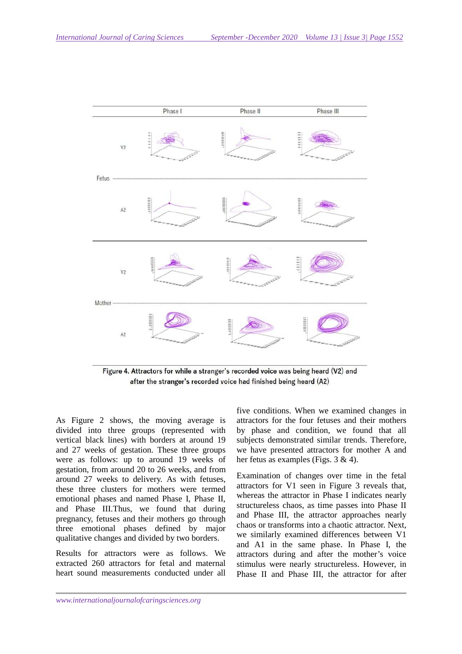

Figure 4. Attractors for while a stranger's recorded voice was being heard (V2) and after the stranger's recorded voice had finished being heard (A2)

As Figure 2 shows, the moving average is divided into three groups (represented with vertical black lines) with borders at around 19 and 27 weeks of gestation. These three groups were as follows: up to around 19 weeks of gestation, from around 20 to 26 weeks, and from around 27 weeks to delivery. As with fetuses, these three clusters for mothers were termed emotional phases and named Phase I, Phase II, and Phase III.Thus, we found that during pregnancy, fetuses and their mothers go through three emotional phases defined by major qualitative changes and divided by two borders.

Results for attractors were as follows. We extracted 260 attractors for fetal and maternal heart sound measurements conducted under all

five conditions. When we examined changes in attractors for the four fetuses and their mothers by phase and condition, we found that all subjects demonstrated similar trends. Therefore, we have presented attractors for mother A and her fetus as examples (Figs. 3 & 4).

Examination of changes over time in the fetal attractors for V1 seen in Figure 3 reveals that, whereas the attractor in Phase I indicates nearly structureless chaos, as time passes into Phase II and Phase III, the attractor approaches nearly chaos or transforms into a chaotic attractor. Next, we similarly examined differences between V1 and A1 in the same phase. In Phase I, the attractors during and after the mother's voice stimulus were nearly structureless. However, in Phase II and Phase III, the attractor for after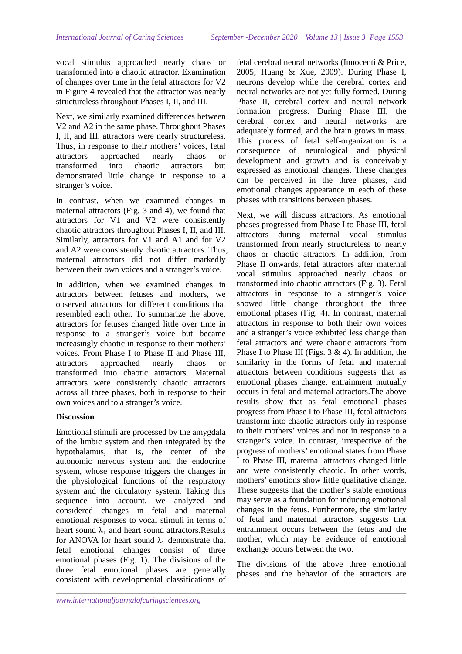vocal stimulus approached nearly chaos or transformed into a chaotic attractor. Examination of changes over time in the fetal attractors for V2 in Figure 4 revealed that the attractor was nearly structureless throughout Phases I, II, and III.

Next, we similarly examined differences between V2 and A2 in the same phase. Throughout Phases I, II, and III, attractors were nearly structureless. Thus, in response to their mothers' voices, fetal attractors approached nearly chaos or transformed into chaotic attractors but demonstrated little change in response to a stranger's voice.

In contrast, when we examined changes in maternal attractors (Fig. 3 and 4), we found that attractors for V1 and V2 were consistently chaotic attractors throughout Phases I, II, and III. Similarly, attractors for V1 and A1 and for V2 and A2 were consistently chaotic attractors. Thus, maternal attractors did not differ markedly between their own voices and a stranger's voice.

In addition, when we examined changes in attractors between fetuses and mothers, we observed attractors for different conditions that resembled each other. To summarize the above, attractors for fetuses changed little over time in response to a stranger's voice but became increasingly chaotic in response to their mothers' voices. From Phase I to Phase II and Phase III, attractors approached nearly chaos or transformed into chaotic attractors. Maternal attractors were consistently chaotic attractors across all three phases, both in response to their own voices and to a stranger's voice.

# **Discussion**

Emotional stimuli are processed by the amygdala of the limbic system and then integrated by the hypothalamus, that is, the center of the autonomic nervous system and the endocrine system, whose response triggers the changes in the physiological functions of the respiratory system and the circulatory system. Taking this sequence into account, we analyzed and considered changes in fetal and maternal emotional responses to vocal stimuli in terms of heart sound  $\lambda_1$  and heart sound attractors. Results for ANOVA for heart sound  $\lambda_1$  demonstrate that fetal emotional changes consist of three emotional phases (Fig. 1). The divisions of the three fetal emotional phases are generally consistent with developmental classifications of

fetal cerebral neural networks (Innocenti & Price, 2005; Huang & Xue, 2009). During Phase I, neurons develop while the cerebral cortex and neural networks are not yet fully formed. During Phase II, cerebral cortex and neural network formation progress. During Phase III, the cerebral cortex and neural networks are adequately formed, and the brain grows in mass. This process of fetal self-organization is a consequence of neurological and physical development and growth and is conceivably expressed as emotional changes. These changes can be perceived in the three phases, and emotional changes appearance in each of these phases with transitions between phases.

Next, we will discuss attractors. As emotional phases progressed from Phase I to Phase III, fetal attractors during maternal vocal stimulus transformed from nearly structureless to nearly chaos or chaotic attractors. In addition, from Phase II onwards, fetal attractors after maternal vocal stimulus approached nearly chaos or transformed into chaotic attractors (Fig. 3). Fetal attractors in response to a stranger's voice showed little change throughout the three emotional phases (Fig. 4). In contrast, maternal attractors in response to both their own voices and a stranger's voice exhibited less change than fetal attractors and were chaotic attractors from Phase I to Phase III (Figs.  $3 \& 4$ ). In addition, the similarity in the forms of fetal and maternal attractors between conditions suggests that as emotional phases change, entrainment mutually occurs in fetal and maternal attractors.The above results show that as fetal emotional phases progress from Phase I to Phase III, fetal attractors transform into chaotic attractors only in response to their mothers' voices and not in response to a stranger's voice. In contrast, irrespective of the progress of mothers' emotional states from Phase I to Phase III, maternal attractors changed little and were consistently chaotic. In other words, mothers' emotions show little qualitative change. These suggests that the mother's stable emotions may serve as a foundation for inducing emotional changes in the fetus. Furthermore, the similarity of fetal and maternal attractors suggests that entrainment occurs between the fetus and the mother, which may be evidence of emotional exchange occurs between the two.

The divisions of the above three emotional phases and the behavior of the attractors are